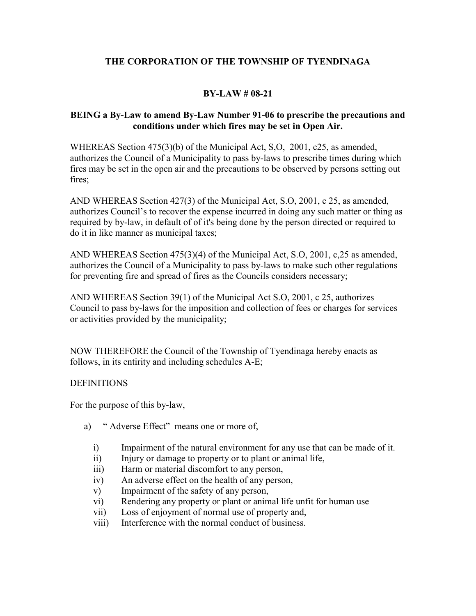## **BY-LAW # 08-21**

#### **BEING a By-Law to amend By-Law Number 91-06 to prescribe the precautions and conditions under which fires may be set in Open Air.**

WHEREAS Section 475(3)(b) of the Municipal Act, S,O, 2001, c25, as amended, authorizes the Council of a Municipality to pass by-laws to prescribe times during which fires may be set in the open air and the precautions to be observed by persons setting out fires;

AND WHEREAS Section 427(3) of the Municipal Act, S.O, 2001, c 25, as amended, authorizes Council's to recover the expense incurred in doing any such matter or thing as required by by-law, in default of of it's being done by the person directed or required to do it in like manner as municipal taxes;

AND WHEREAS Section 475(3)(4) of the Municipal Act, S.O, 2001, c,25 as amended, authorizes the Council of a Municipality to pass by-laws to make such other regulations for preventing fire and spread of fires as the Councils considers necessary;

AND WHEREAS Section 39(1) of the Municipal Act S.O, 2001, c 25, authorizes Council to pass by-laws for the imposition and collection of fees or charges for services or activities provided by the municipality;

NOW THEREFORE the Council of the Township of Tyendinaga hereby enacts as follows, in its entirity and including schedules A-E;

## **DEFINITIONS**

For the purpose of this by-law,

- a) " Adverse Effect" means one or more of,
	- i) Impairment of the natural environment for any use that can be made of it.
	- ii) Injury or damage to property or to plant or animal life,
	- iii) Harm or material discomfort to any person,
	- iv) An adverse effect on the health of any person,
	- v) Impairment of the safety of any person,
	- vi) Rendering any property or plant or animal life unfit for human use
	- vii) Loss of enjoyment of normal use of property and,
	- viii) Interference with the normal conduct of business.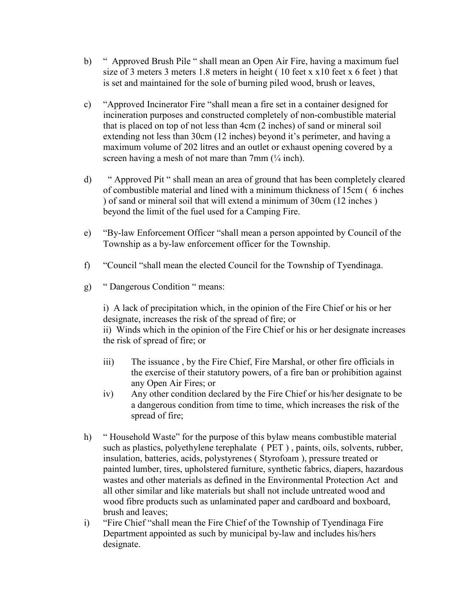- b) " Approved Brush Pile " shall mean an Open Air Fire, having a maximum fuel size of 3 meters 3 meters 1.8 meters in height ( 10 feet x x10 feet x 6 feet ) that is set and maintained for the sole of burning piled wood, brush or leaves,
- c) "Approved Incinerator Fire "shall mean a fire set in a container designed for incineration purposes and constructed completely of non-combustible material that is placed on top of not less than 4cm (2 inches) of sand or mineral soil extending not less than 30cm (12 inches) beyond it's perimeter, and having a maximum volume of 202 litres and an outlet or exhaust opening covered by a screen having a mesh of not mare than  $7 \text{mm}$  ( $\frac{1}{4}$  inch).
- d) " Approved Pit " shall mean an area of ground that has been completely cleared of combustible material and lined with a minimum thickness of 15cm ( 6 inches ) of sand or mineral soil that will extend a minimum of 30cm (12 inches ) beyond the limit of the fuel used for a Camping Fire.
- e) "By-law Enforcement Officer "shall mean a person appointed by Council of the Township as a by-law enforcement officer for the Township.
- f) "Council "shall mean the elected Council for the Township of Tyendinaga.
- g) " Dangerous Condition " means:

i) A lack of precipitation which, in the opinion of the Fire Chief or his or her designate, increases the risk of the spread of fire; or

ii) Winds which in the opinion of the Fire Chief or his or her designate increases the risk of spread of fire; or

- iii) The issuance , by the Fire Chief, Fire Marshal, or other fire officials in the exercise of their statutory powers, of a fire ban or prohibition against any Open Air Fires; or
- iv) Any other condition declared by the Fire Chief or his/her designate to be a dangerous condition from time to time, which increases the risk of the spread of fire;
- h) " Household Waste" for the purpose of this bylaw means combustible material such as plastics, polyethylene terephalate ( PET ) , paints, oils, solvents, rubber, insulation, batteries, acids, polystyrenes ( Styrofoam ), pressure treated or painted lumber, tires, upholstered furniture, synthetic fabrics, diapers, hazardous wastes and other materials as defined in the Environmental Protection Act and all other similar and like materials but shall not include untreated wood and wood fibre products such as unlaminated paper and cardboard and boxboard, brush and leaves;
- i) "Fire Chief "shall mean the Fire Chief of the Township of Tyendinaga Fire Department appointed as such by municipal by-law and includes his/hers designate.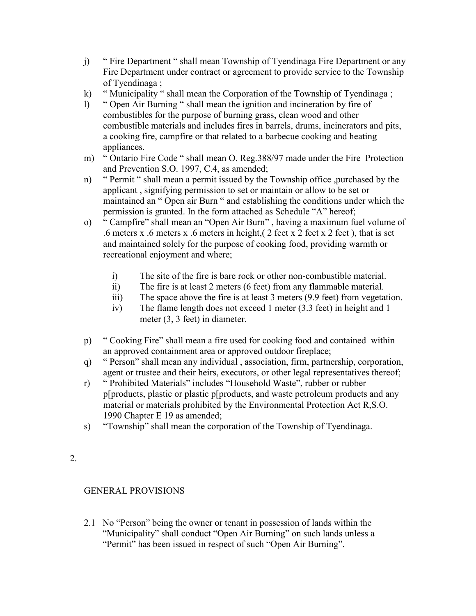- j) " Fire Department " shall mean Township of Tyendinaga Fire Department or any Fire Department under contract or agreement to provide service to the Township of Tyendinaga ;
- k) " Municipality " shall mean the Corporation of the Township of Tyendinaga ;
- l) " Open Air Burning " shall mean the ignition and incineration by fire of combustibles for the purpose of burning grass, clean wood and other combustible materials and includes fires in barrels, drums, incinerators and pits, a cooking fire, campfire or that related to a barbecue cooking and heating appliances.
- m) " Ontario Fire Code " shall mean O. Reg.388/97 made under the Fire Protection and Prevention S.O. 1997, C.4, as amended;
- n) " Permit " shall mean a permit issued by the Township office ,purchased by the applicant , signifying permission to set or maintain or allow to be set or maintained an " Open air Burn " and establishing the conditions under which the permission is granted. In the form attached as Schedule "A" hereof;
- o) " Campfire" shall mean an "Open Air Burn" , having a maximum fuel volume of .6 meters x .6 meters x .6 meters in height,  $(2 \text{ feet } x \text{ 2 feet } y)$ , that is set and maintained solely for the purpose of cooking food, providing warmth or recreational enjoyment and where;
	- i) The site of the fire is bare rock or other non-combustible material.
	- ii) The fire is at least 2 meters (6 feet) from any flammable material.
	- iii) The space above the fire is at least 3 meters (9.9 feet) from vegetation.
	- iv) The flame length does not exceed 1 meter (3.3 feet) in height and 1 meter (3, 3 feet) in diameter.
- p) " Cooking Fire" shall mean a fire used for cooking food and contained within an approved containment area or approved outdoor fireplace;
- q) " Person" shall mean any individual , association, firm, partnership, corporation, agent or trustee and their heirs, executors, or other legal representatives thereof;
- r) " Prohibited Materials" includes "Household Waste", rubber or rubber p[products, plastic or plastic p[products, and waste petroleum products and any material or materials prohibited by the Environmental Protection Act R,S.O. 1990 Chapter E 19 as amended;
- s) "Township" shall mean the corporation of the Township of Tyendinaga.
- 2.

# GENERAL PROVISIONS

2.1 No "Person" being the owner or tenant in possession of lands within the "Municipality" shall conduct "Open Air Burning" on such lands unless a "Permit" has been issued in respect of such "Open Air Burning".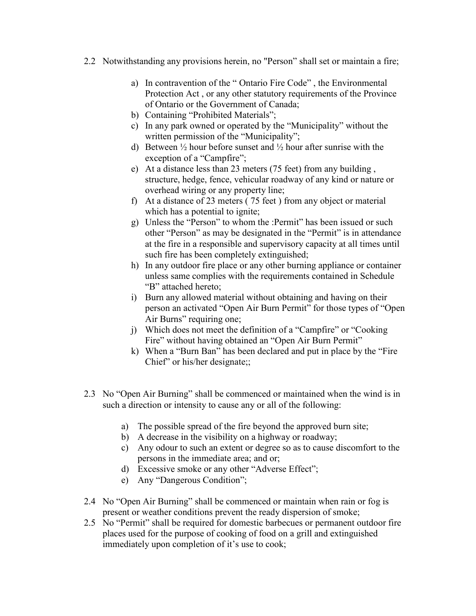- 2.2 Notwithstanding any provisions herein, no "Person" shall set or maintain a fire;
	- a) In contravention of the " Ontario Fire Code" , the Environmental Protection Act , or any other statutory requirements of the Province of Ontario or the Government of Canada;
	- b) Containing "Prohibited Materials";
	- c) In any park owned or operated by the "Municipality" without the written permission of the "Municipality";
	- d) Between  $\frac{1}{2}$  hour before sunset and  $\frac{1}{2}$  hour after sunrise with the exception of a "Campfire";
	- e) At a distance less than 23 meters (75 feet) from any building , structure, hedge, fence, vehicular roadway of any kind or nature or overhead wiring or any property line;
	- f) At a distance of 23 meters ( 75 feet ) from any object or material which has a potential to ignite;
	- g) Unless the "Person" to whom the :Permit" has been issued or such other "Person" as may be designated in the "Permit" is in attendance at the fire in a responsible and supervisory capacity at all times until such fire has been completely extinguished;
	- h) In any outdoor fire place or any other burning appliance or container unless same complies with the requirements contained in Schedule "B" attached hereto;
	- i) Burn any allowed material without obtaining and having on their person an activated "Open Air Burn Permit" for those types of "Open Air Burns" requiring one;
	- j) Which does not meet the definition of a "Campfire" or "Cooking Fire" without having obtained an "Open Air Burn Permit"
	- k) When a "Burn Ban" has been declared and put in place by the "Fire Chief" or his/her designate;;
- 2.3 No "Open Air Burning" shall be commenced or maintained when the wind is in such a direction or intensity to cause any or all of the following:
	- a) The possible spread of the fire beyond the approved burn site;
	- b) A decrease in the visibility on a highway or roadway;
	- c) Any odour to such an extent or degree so as to cause discomfort to the persons in the immediate area; and or;
	- d) Excessive smoke or any other "Adverse Effect";
	- e) Any "Dangerous Condition";
- 2.4 No "Open Air Burning" shall be commenced or maintain when rain or fog is present or weather conditions prevent the ready dispersion of smoke;
- 2.5 No "Permit" shall be required for domestic barbecues or permanent outdoor fire places used for the purpose of cooking of food on a grill and extinguished immediately upon completion of it's use to cook;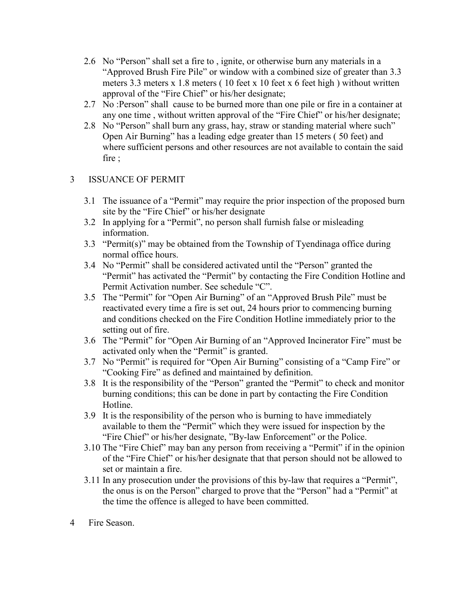- 2.6 No "Person" shall set a fire to , ignite, or otherwise burn any materials in a "Approved Brush Fire Pile" or window with a combined size of greater than 3.3 meters 3.3 meters x 1.8 meters ( 10 feet x 10 feet x 6 feet high ) without written approval of the "Fire Chief" or his/her designate;
- 2.7 No :Person" shall cause to be burned more than one pile or fire in a container at any one time , without written approval of the "Fire Chief" or his/her designate;
- 2.8 No "Person" shall burn any grass, hay, straw or standing material where such" Open Air Burning" has a leading edge greater than 15 meters ( 50 feet) and where sufficient persons and other resources are not available to contain the said fire ;

## 3 ISSUANCE OF PERMIT

- 3.1 The issuance of a "Permit" may require the prior inspection of the proposed burn site by the "Fire Chief" or his/her designate
- 3.2 In applying for a "Permit", no person shall furnish false or misleading information.
- 3.3 "Permit(s)" may be obtained from the Township of Tyendinaga office during normal office hours.
- 3.4 No "Permit" shall be considered activated until the "Person" granted the "Permit" has activated the "Permit" by contacting the Fire Condition Hotline and Permit Activation number. See schedule "C".
- 3.5 The "Permit" for "Open Air Burning" of an "Approved Brush Pile" must be reactivated every time a fire is set out, 24 hours prior to commencing burning and conditions checked on the Fire Condition Hotline immediately prior to the setting out of fire.
- 3.6 The "Permit" for "Open Air Burning of an "Approved Incinerator Fire" must be activated only when the "Permit" is granted.
- 3.7 No "Permit" is required for "Open Air Burning" consisting of a "Camp Fire" or "Cooking Fire" as defined and maintained by definition.
- 3.8 It is the responsibility of the "Person" granted the "Permit" to check and monitor burning conditions; this can be done in part by contacting the Fire Condition Hotline.
- 3.9 It is the responsibility of the person who is burning to have immediately available to them the "Permit" which they were issued for inspection by the "Fire Chief" or his/her designate, "By-law Enforcement" or the Police.
- 3.10 The "Fire Chief" may ban any person from receiving a "Permit" if in the opinion of the "Fire Chief" or his/her designate that that person should not be allowed to set or maintain a fire.
- 3.11 In any prosecution under the provisions of this by-law that requires a "Permit", the onus is on the Person" charged to prove that the "Person" had a "Permit" at the time the offence is alleged to have been committed.
- 4 Fire Season.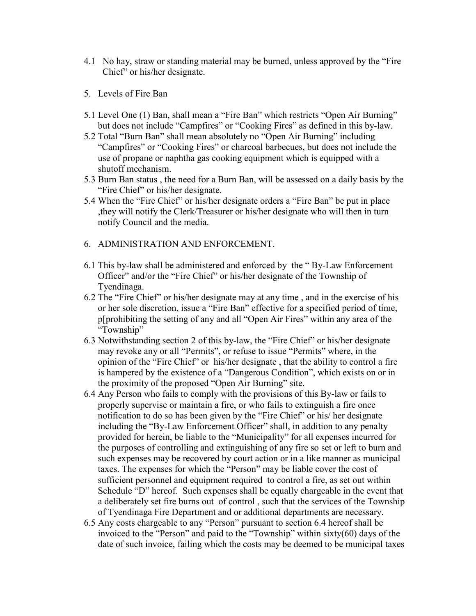- 4.1 No hay, straw or standing material may be burned, unless approved by the "Fire Chief" or his/her designate.
- 5. Levels of Fire Ban
- 5.1 Level One (1) Ban, shall mean a "Fire Ban" which restricts "Open Air Burning" but does not include "Campfires" or "Cooking Fires" as defined in this by-law.
- 5.2 Total "Burn Ban" shall mean absolutely no "Open Air Burning" including "Campfires" or "Cooking Fires" or charcoal barbecues, but does not include the use of propane or naphtha gas cooking equipment which is equipped with a shutoff mechanism.
- 5.3 Burn Ban status , the need for a Burn Ban, will be assessed on a daily basis by the "Fire Chief" or his/her designate.
- 5.4 When the "Fire Chief" or his/her designate orders a "Fire Ban" be put in place ,they will notify the Clerk/Treasurer or his/her designate who will then in turn notify Council and the media.
- 6. ADMINISTRATION AND ENFORCEMENT.
- 6.1 This by-law shall be administered and enforced by the " By-Law Enforcement Officer" and/or the "Fire Chief" or his/her designate of the Township of Tyendinaga.
- 6.2 The "Fire Chief" or his/her designate may at any time , and in the exercise of his or her sole discretion, issue a "Fire Ban" effective for a specified period of time, p[prohibiting the setting of any and all "Open Air Fires" within any area of the "Township"
- 6.3 Notwithstanding section 2 of this by-law, the "Fire Chief" or his/her designate may revoke any or all "Permits", or refuse to issue "Permits" where, in the opinion of the "Fire Chief" or his/her designate , that the ability to control a fire is hampered by the existence of a "Dangerous Condition", which exists on or in the proximity of the proposed "Open Air Burning" site.
- 6.4 Any Person who fails to comply with the provisions of this By-law or fails to properly supervise or maintain a fire, or who fails to extinguish a fire once notification to do so has been given by the "Fire Chief" or his/ her designate including the "By-Law Enforcement Officer" shall, in addition to any penalty provided for herein, be liable to the "Municipality" for all expenses incurred for the purposes of controlling and extinguishing of any fire so set or left to burn and such expenses may be recovered by court action or in a like manner as municipal taxes. The expenses for which the "Person" may be liable cover the cost of sufficient personnel and equipment required to control a fire, as set out within Schedule "D" hereof. Such expenses shall be equally chargeable in the event that a deliberately set fire burns out of control , such that the services of the Township of Tyendinaga Fire Department and or additional departments are necessary.
- 6.5 Any costs chargeable to any "Person" pursuant to section 6.4 hereof shall be invoiced to the "Person" and paid to the "Township" within sixty(60) days of the date of such invoice, failing which the costs may be deemed to be municipal taxes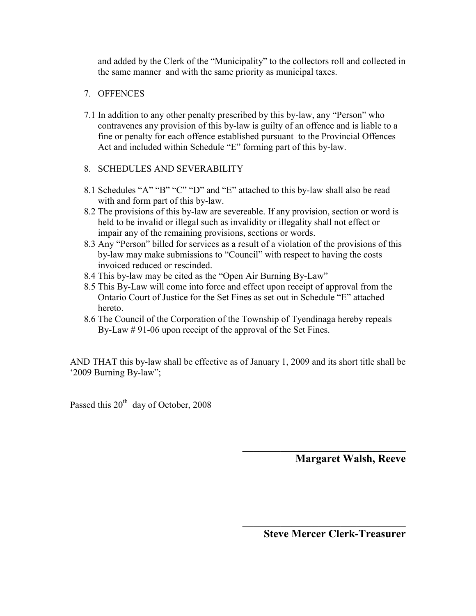and added by the Clerk of the "Municipality" to the collectors roll and collected in the same manner and with the same priority as municipal taxes.

## 7. OFFENCES

7.1 In addition to any other penalty prescribed by this by-law, any "Person" who contravenes any provision of this by-law is guilty of an offence and is liable to a fine or penalty for each offence established pursuant to the Provincial Offences Act and included within Schedule "E" forming part of this by-law.

## 8. SCHEDULES AND SEVERABILITY

- 8.1 Schedules "A" "B" "C" "D" and "E" attached to this by-law shall also be read with and form part of this by-law.
- 8.2 The provisions of this by-law are severeable. If any provision, section or word is held to be invalid or illegal such as invalidity or illegality shall not effect or impair any of the remaining provisions, sections or words.
- 8.3 Any "Person" billed for services as a result of a violation of the provisions of this by-law may make submissions to "Council" with respect to having the costs invoiced reduced or rescinded.
- 8.4 This by-law may be cited as the "Open Air Burning By-Law"
- 8.5 This By-Law will come into force and effect upon receipt of approval from the Ontario Court of Justice for the Set Fines as set out in Schedule "E" attached hereto.
- 8.6 The Council of the Corporation of the Township of Tyendinaga hereby repeals By-Law # 91-06 upon receipt of the approval of the Set Fines.

AND THAT this by-law shall be effective as of January 1, 2009 and its short title shall be '2009 Burning By-law";

 **\_\_\_\_\_\_\_\_\_\_\_\_\_\_\_\_\_\_\_\_\_\_\_\_\_\_\_\_\_\_** 

Passed this 20<sup>th</sup> day of October, 2008

 **Margaret Walsh, Reeve** 

 **Steve Mercer Clerk-Treasurer**

**\_\_\_\_\_\_\_\_\_\_\_\_\_\_\_\_\_\_\_\_\_\_\_\_\_\_\_\_\_\_**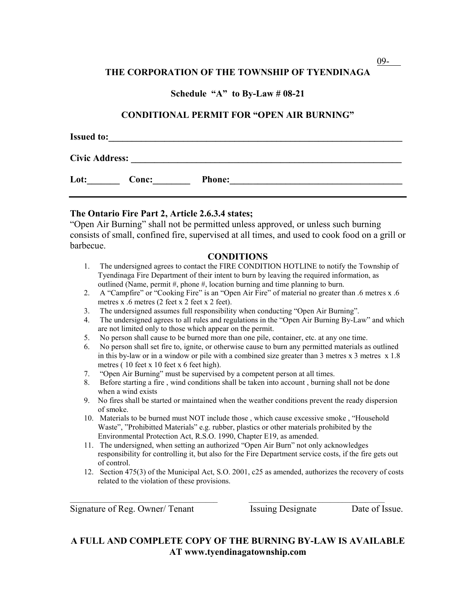#### **Schedule "A" to By-Law # 08-21**

#### **CONDITIONAL PERMIT FOR "OPEN AIR BURNING"**

| <b>Issued to:</b>     |       |               |  |  |  |
|-----------------------|-------|---------------|--|--|--|
| <b>Civic Address:</b> |       |               |  |  |  |
| Lot:                  | Conc: | <b>Phone:</b> |  |  |  |

#### **The Ontario Fire Part 2, Article 2.6.3.4 states;**

"Open Air Burning" shall not be permitted unless approved, or unless such burning consists of small, confined fire, supervised at all times, and used to cook food on a grill or barbecue.

#### **CONDITIONS**

- 1. The undersigned agrees to contact the FIRE CONDITION HOTLINE to notify the Township of Tyendinaga Fire Department of their intent to burn by leaving the required information, as outlined (Name, permit  $#$ , phone  $#$ , location burning and time planning to burn.
- 2. A "Campfire" or "Cooking Fire" is an "Open Air Fire" of material no greater than .6 metres x .6 metres x .6 metres (2 feet x 2 feet x 2 feet).
- 3. The undersigned assumes full responsibility when conducting "Open Air Burning".
- 4. The undersigned agrees to all rules and regulations in the "Open Air Burning By-Law" and which are not limited only to those which appear on the permit.
- 5. No person shall cause to be burned more than one pile, container, etc. at any one time.
- 6. No person shall set fire to, ignite, or otherwise cause to burn any permitted materials as outlined in this by-law or in a window or pile with a combined size greater than 3 metres  $x$  3 metres  $x$  1.8 metres ( 10 feet x 10 feet x 6 feet high).
- 7. "Open Air Burning" must be supervised by a competent person at all times.
- 8. Before starting a fire , wind conditions shall be taken into account , burning shall not be done when a wind exists
- 9. No fires shall be started or maintained when the weather conditions prevent the ready dispersion of smoke.
- 10. Materials to be burned must NOT include those , which cause excessive smoke , "Household Waste", "Prohibitted Materials" e.g. rubber, plastics or other materials prohibited by the Environmental Protection Act, R.S.O. 1990, Chapter E19, as amended.
- 11. The undersigned, when setting an authorized "Open Air Burn" not only acknowledges responsibility for controlling it, but also for the Fire Department service costs, if the fire gets out of control.
- 12. Section 475(3) of the Municipal Act, S.O. 2001, c25 as amended, authorizes the recovery of costs related to the violation of these provisions.

Signature of Reg. Owner/ Tenant Issuing Designate Date of Issue.

#### **A FULL AND COMPLETE COPY OF THE BURNING BY-LAW IS AVAILABLE AT www.tyendinagatownship.com**

 $\overline{\phantom{a}}$  , and the set of the set of the set of the set of the set of the set of the set of the set of the set of the set of the set of the set of the set of the set of the set of the set of the set of the set of the s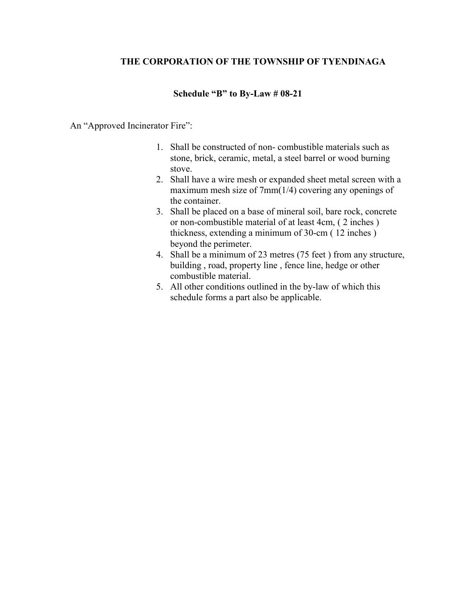#### **Schedule "B" to By-Law # 08-21**

#### An "Approved Incinerator Fire":

- 1. Shall be constructed of non- combustible materials such as stone, brick, ceramic, metal, a steel barrel or wood burning stove.
- 2. Shall have a wire mesh or expanded sheet metal screen with a maximum mesh size of 7mm(1/4) covering any openings of the container.
- 3. Shall be placed on a base of mineral soil, bare rock, concrete or non-combustible material of at least 4cm, ( 2 inches ) thickness, extending a minimum of 30-cm ( 12 inches ) beyond the perimeter.
- 4. Shall be a minimum of 23 metres (75 feet ) from any structure, building , road, property line , fence line, hedge or other combustible material.
- 5. All other conditions outlined in the by-law of which this schedule forms a part also be applicable.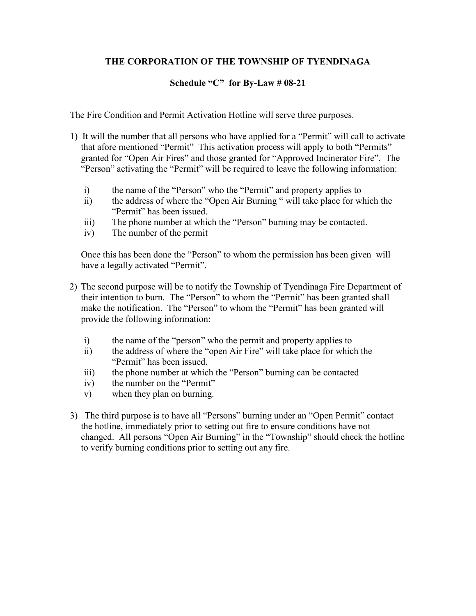## **Schedule "C" for By-Law # 08-21**

The Fire Condition and Permit Activation Hotline will serve three purposes.

- 1) It will the number that all persons who have applied for a "Permit" will call to activate that afore mentioned "Permit" This activation process will apply to both "Permits" granted for "Open Air Fires" and those granted for "Approved Incinerator Fire". The "Person" activating the "Permit" will be required to leave the following information:
	- i) the name of the "Person" who the "Permit" and property applies to
	- ii) the address of where the "Open Air Burning " will take place for which the "Permit" has been issued.
	- iii) The phone number at which the "Person" burning may be contacted.
	- iv) The number of the permit

Once this has been done the "Person" to whom the permission has been given will have a legally activated "Permit".

- 2) The second purpose will be to notify the Township of Tyendinaga Fire Department of their intention to burn. The "Person" to whom the "Permit" has been granted shall make the notification. The "Person" to whom the "Permit" has been granted will provide the following information:
	- i) the name of the "person" who the permit and property applies to
	- ii) the address of where the "open Air Fire" will take place for which the "Permit" has been issued.
	- iii) the phone number at which the "Person" burning can be contacted
	- iv) the number on the "Permit"
	- v) when they plan on burning.
- 3) The third purpose is to have all "Persons" burning under an "Open Permit" contact the hotline, immediately prior to setting out fire to ensure conditions have not changed. All persons "Open Air Burning" in the "Township" should check the hotline to verify burning conditions prior to setting out any fire.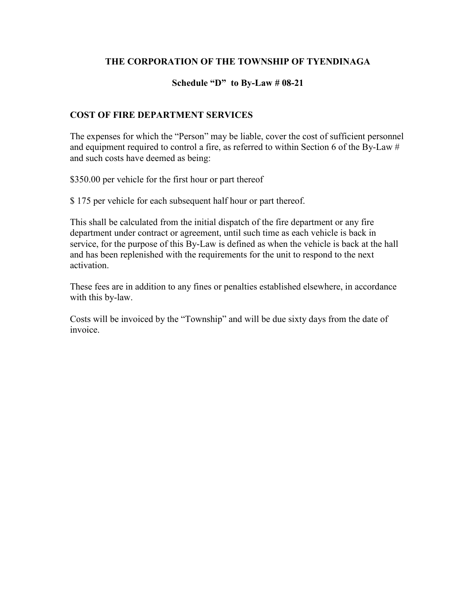#### **Schedule "D" to By-Law # 08-21**

#### **COST OF FIRE DEPARTMENT SERVICES**

The expenses for which the "Person" may be liable, cover the cost of sufficient personnel and equipment required to control a fire, as referred to within Section 6 of the By-Law # and such costs have deemed as being:

\$350.00 per vehicle for the first hour or part thereof

\$ 175 per vehicle for each subsequent half hour or part thereof.

This shall be calculated from the initial dispatch of the fire department or any fire department under contract or agreement, until such time as each vehicle is back in service, for the purpose of this By-Law is defined as when the vehicle is back at the hall and has been replenished with the requirements for the unit to respond to the next activation.

These fees are in addition to any fines or penalties established elsewhere, in accordance with this by-law.

Costs will be invoiced by the "Township" and will be due sixty days from the date of invoice.